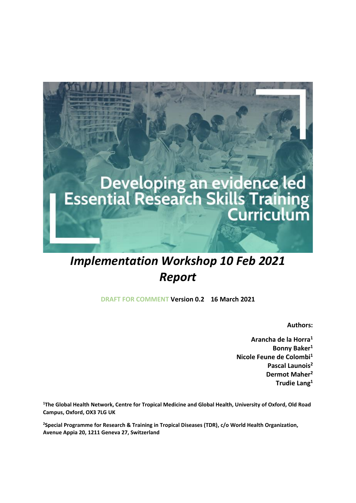

# *Implementation Workshop 10 Feb 2021 Report*

**DRAFT FOR COMMENT Version 0.2 16 March 2021**

**Authors:**

**Arancha de la Horra<sup>1</sup> Bonny Baker<sup>1</sup> Nicole Feune de Colombi<sup>1</sup> Pascal Launois<sup>2</sup> Dermot Maher<sup>2</sup> Trudie Lang<sup>1</sup>**

**<sup>1</sup>The Global Health Network, Centre for Tropical Medicine and Global Health, University of Oxford, Old Road Campus, Oxford, OX3 7LG UK**

**<sup>2</sup>Special Programme for Research & Training in Tropical Diseases (TDR), c/o World Health Organization, Avenue Appia 20, 1211 Geneva 27, Switzerland**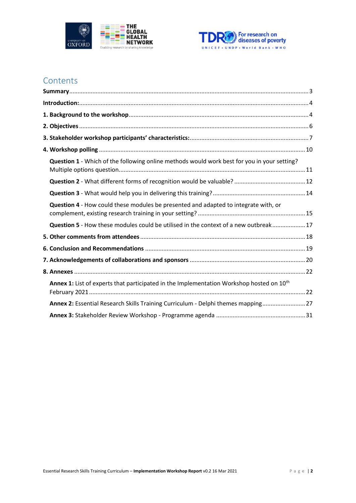



## **Contents**

| Question 1 - Which of the following online methods would work best for you in your setting?          |  |
|------------------------------------------------------------------------------------------------------|--|
|                                                                                                      |  |
|                                                                                                      |  |
| Question 4 - How could these modules be presented and adapted to integrate with, or                  |  |
| Question 5 - How these modules could be utilised in the context of a new outbreak17                  |  |
|                                                                                                      |  |
|                                                                                                      |  |
|                                                                                                      |  |
|                                                                                                      |  |
| Annex 1: List of experts that participated in the Implementation Workshop hosted on 10 <sup>th</sup> |  |
| Annex 2: Essential Research Skills Training Curriculum - Delphi themes mapping 27                    |  |
|                                                                                                      |  |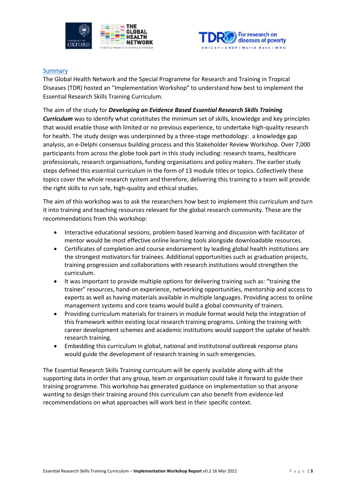



### <span id="page-2-0"></span>**Summary**

The Global Health Network and the Special Programme for Research and Training in Tropical Diseases (TDR) hosted an "Implementation Workshop" to understand how best to implement the Essential Research Skills Training Curriculum.

The aim of the study for *Developing an Evidence Based Essential Research Skills Training Curriculum* was to identify what constitutes the minimum set of skills, knowledge and key principles that would enable those with limited or no previous experience, to undertake high-quality research for health. The study design was underpinned by a three-stage methodology: a knowledge gap analysis, an e-Delphi consensus building process and this Stakeholder Review Workshop. Over 7,000 participants from across the globe took part in this study including: research teams, healthcare professionals, research organisations, funding organisations and policy makers. The earlier study steps defined this essential curriculum in the form of 13 module titles or topics. Collectively these topics cover the whole research system and therefore, delivering this training to a team will provide the right skills to run safe, high-quality and ethical studies.

The aim of this workshop was to ask the researchers how best to implement this curriculum and turn it into training and teaching resources relevant for the global research community. These are the recommendations from this workshop:

- Interactive educational sessions, problem based learning and discussion with facilitator of mentor would be most effective online learning tools alongside downloadable resources.
- Certificates of completion and course endorsement by leading global health institutions are the strongest motivators for trainees. Additional opportunities such as graduation projects, training progression and collaborations with research institutions would strengthen the curriculum.
- It was important to provide multiple options for delivering training such as: "training the trainer" resources, hand-on experience, networking opportunities, mentorship and access to experts as well as having materials available in multiple languages. Providing access to online management systems and core teams would build a global community of trainers.
- Providing curriculum materials for trainers in module format would help the integration of this framework within existing local research training programs. Linking the training with career development schemes and academic institutions would support the uptake of health research training.
- Embedding this curriculum in global, national and institutional outbreak response plans would guide the development of research training in such emergencies.

The Essential Research Skills Training curriculum will be openly available along with all the supporting data in order that any group, team or organisation could take it forward to guide their training programme. This workshop has generated guidance on implementation so that anyone wanting to design their training around this curriculum can also benefit from evidence-led recommendations on what approaches will work best in their specific context.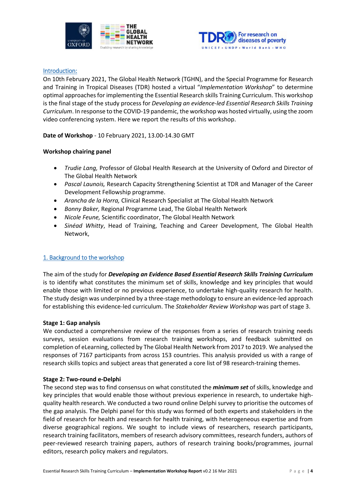



### <span id="page-3-0"></span>Introduction:

On 10th February 2021, The Global Health Network (TGHN), and the Special Programme for Research and Training in Tropical Diseases (TDR) hosted a virtual "*Implementation Workshop*" to determine optimal approaches for implementing the Essential Research skills Training Curriculum. This workshop is the final stage of the study process for *Developing an evidence-led Essential Research Skills Training Curriculum*. In response to the COVID-19 pandemic, the workshop was hosted virtually, using the zoom video conferencing system. Here we report the results of this workshop.

**Date of Workshop** - 10 February 2021, 13.00-14.30 GMT

### **Workshop chairing panel**

- *Trudie Lang,* Professor of Global Health Research at the University of Oxford and Director of The Global Health Network
- *Pascal Launois,* Research Capacity Strengthening Scientist at TDR and Manager of the Career Development Fellowship programme.
- *Arancha de la Horra,* Clinical Research Specialist at The Global Health Network
- *Bonny Baker,* Regional Programme Lead, The Global Health Network
- *Nicole Feune,* Scientific coordinator, The Global Health Network
- *Sinéad Whitty*, Head of Training, Teaching and Career Development, The Global Health Network,

### <span id="page-3-1"></span>1. Background to the workshop

The aim of the study for *Developing an Evidence Based Essential Research Skills Training Curriculum* is to identify what constitutes the minimum set of skills, knowledge and key principles that would enable those with limited or no previous experience, to undertake high-quality research for health. The study design was underpinned by a three-stage methodology to ensure an evidence-led approach for establishing this evidence-led curriculum. The *Stakeholder Review Workshop* was part of stage 3.

### **Stage 1: Gap analysis**

We conducted a comprehensive review of the responses from a series of research training needs surveys, session evaluations from research training workshops, and feedback submitted on completion of eLearning, collected by The Global Health Network from 2017 to 2019. We analysed the responses of 7167 participants from across 153 countries. This analysis provided us with a range of research skills topics and subject areas that generated a core list of 98 research-training themes.

### **Stage 2: Two-round e-Delphi**

The second step was to find consensus on what constituted the *minimum set* of skills, knowledge and key principles that would enable those without previous experience in research, to undertake highquality health research. We conducted a two round online Delphi survey to prioritise the outcomes of the gap analysis. The Delphi panel for this study was formed of both experts and stakeholders in the field of research for health and research for health training, with heterogeneous expertise and from diverse geographical regions. We sought to include views of researchers, research participants, research training facilitators, members of research advisory committees, research funders, authors of peer-reviewed research training papers, authors of research training books/programmes, journal editors, research policy makers and regulators.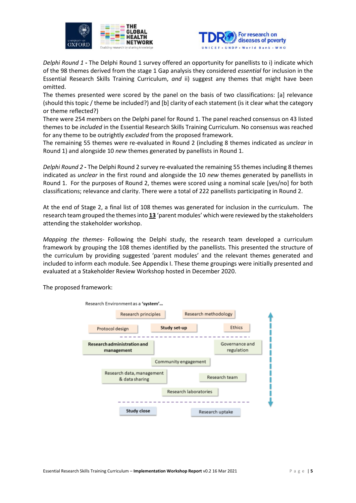



*Delphi Round 1* **-** The Delphi Round 1 survey offered an opportunity for panellists to i) indicate which of the 98 themes derived from the stage 1 Gap analysis they considered *essential* for inclusion in the Essential Research Skills Training Curriculum, *and* ii) suggest any themes that might have been omitted.

The themes presented were scored by the panel on the basis of two classifications: [a] relevance (should this topic / theme be included?) and [b] clarity of each statement (is it clear what the category or theme reflected?)

There were 254 members on the Delphi panel for Round 1. The panel reached consensus on 43 listed themes to be *included* in the Essential Research Skills Training Curriculum. No consensus was reached for any theme to be outrightly *excluded* from the proposed framework.

The remaining 55 themes were re-evaluated in Round 2 (including 8 themes indicated as *unclear* in Round 1) and alongside 10 *new* themes generated by panellists in Round 1.

*Delphi Round 2* **-** The Delphi Round 2 survey re-evaluated the remaining 55 themes including 8 themes indicated as *unclear* in the first round and alongside the 10 *new* themes generated by panellists in Round 1. For the purposes of Round 2, themes were scored using a nominal scale [yes/no] for both classifications; relevance and clarity. There were a total of 222 panellists participating in Round 2.

At the end of Stage 2, a final list of 108 themes was generated for inclusion in the curriculum. The research team grouped the themes into **13** 'parent modules' which were reviewed by the stakeholders attending the stakeholder workshop.

*Mapping the themes-* Following the Delphi study, the research team developed a curriculum framework by grouping the 108 themes identified by the panellists. This presented the structure of the curriculum by providing suggested 'parent modules' and the relevant themes generated and included to inform each module. See Appendix I. These theme groupings were initially presented and evaluated at a Stakeholder Review Workshop hosted in December 2020.

The proposed framework:

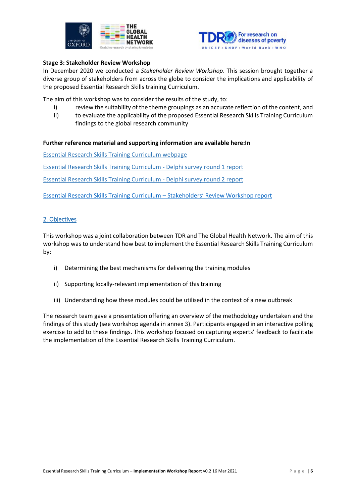



### **Stage 3: Stakeholder Review Workshop**

In December 2020 we conducted a *Stakeholder Review Workshop*. This session brought together a diverse group of stakeholders from across the globe to consider the implications and applicability of the proposed Essential Research Skills training Curriculum.

The aim of this workshop was to consider the results of the study, to:

- i) review the suitability of the theme groupings as an accurate reflection of the content, and
- ii) to evaluate the applicability of the proposed Essential Research Skills Training Curriculum findings to the global research community

### **Further reference material and supporting information are available here:In**

[Essential Research Skills Training Curriculum webpage](https://globalresearchmethods.tghn.org/methodology-projects/essential-research-skills-training-curriculum/)

[Essential Research Skills Training Curriculum -](https://media.tghn.org/medialibrary/2020/10/2020-10-22_Essential_research_skills_Delphi_-_ROUND_1_General_Report_v3_22Oct20.pdf) Delphi survey round 1 report

[Essential Research Skills Training Curriculum -](https://media.tghn.org/medialibrary/2020/11/Essential_research_skills_Delphi_-_ROUND_2_Panel_Report_v1.0_05Nov2020.pdf) Delphi survey round 2 report

[Essential Research Skills Training Curriculum](https://media.tghn.org/medialibrary/2021/03/Workshop_Essential_Research_Skills_Stakeholders_REPORT_v3.0_2021-03-04.pdf) – Stakeholders' Review Workshop report

### <span id="page-5-0"></span>2. Objectives

This workshop was a joint collaboration between TDR and The Global Health Network. The aim of this workshop was to understand how best to implement the Essential Research Skills Training Curriculum by:

- i) Determining the best mechanisms for delivering the training modules
- ii) Supporting locally-relevant implementation of this training
- iii) Understanding how these modules could be utilised in the context of a new outbreak

The research team gave a presentation offering an overview of the methodology undertaken and the findings of this study (see workshop agenda in annex 3). Participants engaged in an interactive polling exercise to add to these findings. This workshop focused on capturing experts' feedback to facilitate the implementation of the Essential Research Skills Training Curriculum.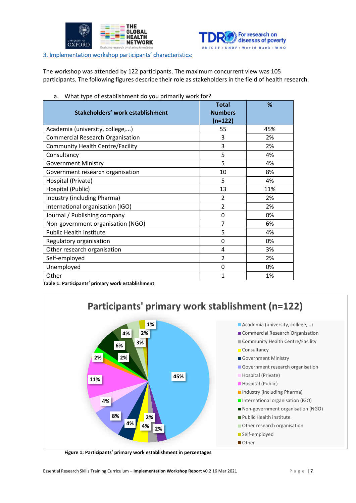



<span id="page-6-0"></span>3. Implementation workshop participants' characteristics:

The workshop was attended by 122 participants. The maximum concurrent view was 105 participants. The following figures describe their role as stakeholders in the field of health research.

| Stakeholders' work establishment        | <b>Total</b><br><b>Numbers</b><br>$(n=122)$ | %   |
|-----------------------------------------|---------------------------------------------|-----|
| Academia (university, college,)         | 55                                          | 45% |
| <b>Commercial Research Organisation</b> | 3                                           | 2%  |
| <b>Community Health Centre/Facility</b> | 3                                           | 2%  |
| Consultancy                             | 5                                           | 4%  |
| <b>Government Ministry</b>              | 5                                           | 4%  |
| Government research organisation        | 10                                          | 8%  |
| Hospital (Private)                      | 5                                           | 4%  |
| Hospital (Public)                       | 13                                          | 11% |
| Industry (including Pharma)             | $\mathcal{P}$                               | 2%  |
| International organisation (IGO)        | $\overline{2}$                              | 2%  |
| Journal / Publishing company            | 0                                           | 0%  |
| Non-government organisation (NGO)       | 7                                           | 6%  |
| <b>Public Health institute</b>          | 5                                           | 4%  |
| Regulatory organisation                 | 0                                           | 0%  |
| Other research organisation             | 4                                           | 3%  |
| Self-employed                           | $\overline{2}$                              | 2%  |
| Unemployed                              | 0                                           | 0%  |
| Other                                   | 1                                           | 1%  |

a. What type of establishment do you primarily work for?

**Table 1: Participants' primary work establishment**



**Figure 1: Participants' primary work establishment in percentages**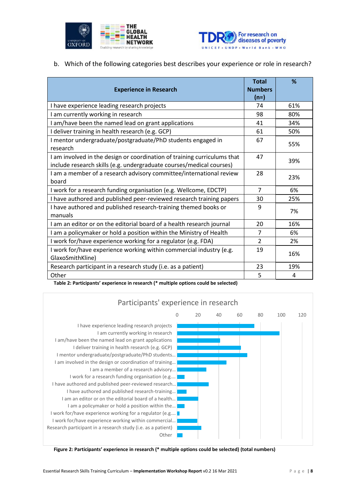



b. Which of the following categories best describes your experience or role in research?

| <b>Experience in Research</b>                                                                                                                    | <b>Total</b><br><b>Numbers</b><br>$(n=)$ | %   |
|--------------------------------------------------------------------------------------------------------------------------------------------------|------------------------------------------|-----|
| I have experience leading research projects                                                                                                      | 74                                       | 61% |
| I am currently working in research                                                                                                               | 98                                       | 80% |
| I am/have been the named lead on grant applications                                                                                              | 41                                       | 34% |
| I deliver training in health research (e.g. GCP)                                                                                                 | 61                                       | 50% |
| I mentor undergraduate/postgraduate/PhD students engaged in<br>research                                                                          | 67                                       | 55% |
| I am involved in the design or coordination of training curriculums that<br>include research skills (e.g. undergraduate courses/medical courses) | 47                                       | 39% |
| I am a member of a research advisory committee/international review<br>board                                                                     | 28                                       | 23% |
| I work for a research funding organisation (e.g. Wellcome, EDCTP)                                                                                | $\overline{7}$                           | 6%  |
| I have authored and published peer-reviewed research training papers                                                                             | 30                                       | 25% |
| I have authored and published research-training themed books or<br>manuals                                                                       | 9                                        | 7%  |
| I am an editor or on the editorial board of a health research journal                                                                            | 20                                       | 16% |
| I am a policymaker or hold a position within the Ministry of Health                                                                              | 7                                        | 6%  |
| I work for/have experience working for a regulator (e.g. FDA)                                                                                    | $\mathcal{L}$                            | 2%  |
| I work for/have experience working within commercial industry (e.g.<br>GlaxoSmithKline)                                                          | 19                                       | 16% |
| Research participant in a research study (i.e. as a patient)                                                                                     | 23                                       | 19% |
| Other                                                                                                                                            | 5                                        | 4   |

**Table 2: Participants' experience in research (\* multiple options could be selected)**



**Figure 2: Participants' experience in research (\* multiple options could be selected) (total numbers)**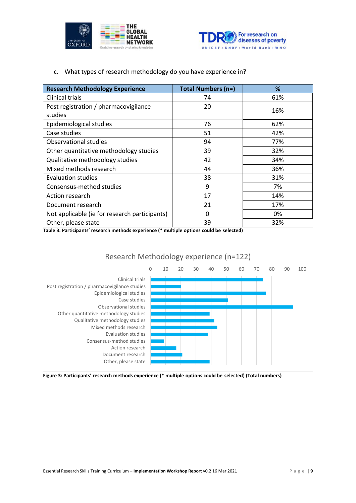



### c. What types of research methodology do you have experience in?

| <b>Research Methodology Experience</b>        | Total Numbers (n=) | %   |
|-----------------------------------------------|--------------------|-----|
| Clinical trials                               | 74                 | 61% |
| Post registration / pharmacovigilance         | 20                 | 16% |
| studies                                       |                    |     |
| Epidemiological studies                       | 76                 | 62% |
| Case studies                                  | 51                 | 42% |
| <b>Observational studies</b>                  | 94                 | 77% |
| Other quantitative methodology studies        | 39                 | 32% |
| Qualitative methodology studies               | 42                 | 34% |
| Mixed methods research                        | 44                 | 36% |
| <b>Evaluation studies</b>                     | 38                 | 31% |
| Consensus-method studies                      | 9                  | 7%  |
| Action research                               | 17                 | 14% |
| Document research                             | 21                 | 17% |
| Not applicable (ie for research participants) | 0                  | 0%  |
| Other, please state                           | 39                 | 32% |

**Table 3: Participants' research methods experience (\* multiple options could be selected)**



**Figure 3: Participants' research methods experience (\* multiple options could be selected) (Total numbers)**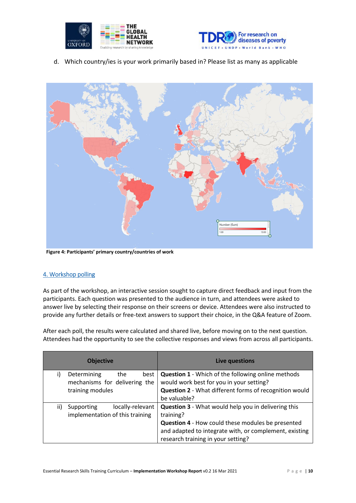



d. Which country/ies is your work primarily based in? Please list as many as applicable



**Figure 4: Participants' primary country/countries of work**

### <span id="page-9-0"></span>4. Workshop polling

As part of the workshop, an interactive session sought to capture direct feedback and input from the participants. Each question was presented to the audience in turn, and attendees were asked to answer live by selecting their response on their screens or device. Attendees were also instructed to provide any further details or free-text answers to support their choice, in the Q&A feature of Zoom.

After each poll, the results were calculated and shared live, before moving on to the next question. Attendees had the opportunity to see the collective responses and views from across all participants.

|     | <b>Objective</b>                | Live questions                                                |
|-----|---------------------------------|---------------------------------------------------------------|
| i)  | Determining<br>the<br>best      | <b>Question 1</b> - Which of the following online methods     |
|     | mechanisms for delivering the   | would work best for you in your setting?                      |
|     | training modules                | <b>Question 2</b> - What different forms of recognition would |
|     |                                 | be valuable?                                                  |
| ii) | locally-relevant<br>Supporting  | <b>Question 3</b> - What would help you in delivering this    |
|     | implementation of this training | training?                                                     |
|     |                                 | <b>Question 4 - How could these modules be presented</b>      |
|     |                                 | and adapted to integrate with, or complement, existing        |
|     |                                 | research training in your setting?                            |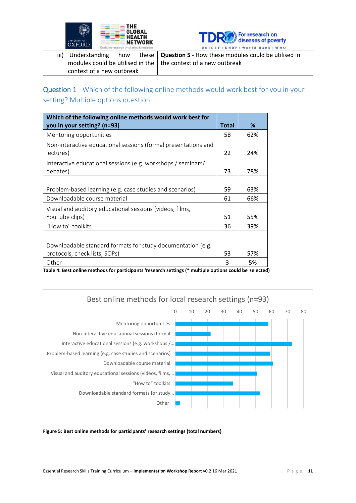



|                                                                  | iii) Understanding how these $\sqrt{Q}$ Question 5 - How these modules could be utilised in |
|------------------------------------------------------------------|---------------------------------------------------------------------------------------------|
| modules could be utilised in the   the context of a new outbreak |                                                                                             |
| context of a new outbreak                                        |                                                                                             |

<span id="page-10-0"></span>Question 1 - Which of the following online methods would work best for you in your setting? Multiple options question.

| Which of the following online methods would work best for      |              |     |
|----------------------------------------------------------------|--------------|-----|
| you in your setting? (n=93)                                    | <b>Total</b> | %   |
| Mentoring opportunities                                        | 58           | 62% |
| Non-interactive educational sessions (formal presentations and |              |     |
| lectures)                                                      | 22           | 24% |
| Interactive educational sessions (e.g. workshops / seminars/   |              |     |
| debates)                                                       | 73           | 78% |
|                                                                |              |     |
| Problem-based learning (e.g. case studies and scenarios)       | 59           | 63% |
| Downloadable course material                                   | 61           | 66% |
| Visual and auditory educational sessions (videos, films,       |              |     |
| YouTube clips)                                                 | 51           | 55% |
| "How to" toolkits                                              | 36           | 39% |
|                                                                |              |     |
| Downloadable standard formats for study documentation (e.g.    |              |     |
| protocols, check lists, SOPs)                                  | 53           | 57% |
| Other                                                          | 3            | 5%  |

**Table 4: Best online methods for participants 'research settings (\* multiple options could be selected)**



**Figure 5: Best online methods for participants' research settings (total numbers)**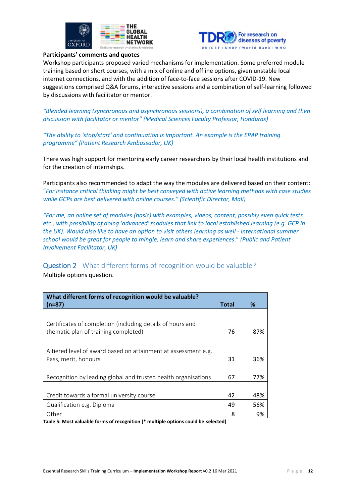



### **Participants' comments and quotes**

Workshop participants proposed varied mechanisms for implementation. Some preferred module training based on short courses, with a mix of online and offline options, given unstable local internet connections, and with the addition of face-to-face sessions after COVID-19. New suggestions comprised Q&A forums, interactive sessions and a combination of self-learning followed by discussions with facilitator or mentor.

*"Blended learning (synchronous and asynchronous sessions), a combination of self learning and then discussion with facilitator or mentor" (Medical Sciences Faculty Professor, Honduras)*

*"The ability to 'stop/start' and continuation is important. An example is the EPAP training programme" (Patient Research Ambassador, UK)*

There was high support for mentoring early career researchers by their local health institutions and for the creation of internships.

Participants also recommended to adapt the way the modules are delivered based on their content: "*For instance critical thinking might be best conveyed with active learning methods with case studies while GCPs are best delivered with online courses." (Scientific Director, Mali)*

*"For me, an online set of modules (basic) with examples, videos, content, possibly even quick tests etc., with possibility of doing 'advanced' modules that link to local established learning (e.g. GCP in the UK). Would also like to have an option to visit others learning as well - international summer school would be great for people to mingle, learn and share experiences*." *(Public and Patient Involvement Facilitator, UK)*

<span id="page-11-0"></span>Question 2 - What different forms of recognition would be valuable?

Multiple options question.

| What different forms of recognition would be valuable?         |              |     |
|----------------------------------------------------------------|--------------|-----|
| $(n=87)$                                                       | <b>Total</b> | %   |
|                                                                |              |     |
| Certificates of completion (including details of hours and     |              |     |
| thematic plan of training completed)                           | 76           | 87% |
|                                                                |              |     |
| A tiered level of award based on attainment at assessment e.g. |              |     |
| Pass, merit, honours                                           | 31           | 36% |
|                                                                |              |     |
| Recognition by leading global and trusted health organisations | 67           | 77% |
|                                                                |              |     |
| Credit towards a formal university course                      | 42           | 48% |
| Qualification e.g. Diploma                                     | 49           | 56% |
| Other                                                          | 8            | 9%  |

**Table 5: Most valuable forms of recognition (\* multiple options could be selected)**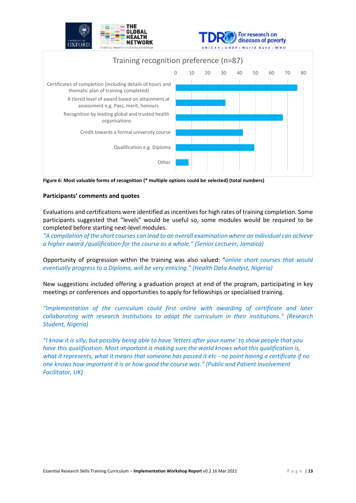

**Figure 6: Most valuable forms of recognition (\* multiple options could be selected) (total numbers)**

### **Participants' comments and quotes**

Evaluations and certifications were identified as incentives for high rates of training completion. Some participants suggested that "levels" would be useful so, some modules would be required to be completed before starting next-level modules.

*"A compilation of the short courses can lead to an overall examination where an individual can achieve a higher award /qualification for the course as a whole." (Senior Lecturer, Jamaica)*

Opportunity of progression within the training was also valued: "*online short courses that would eventually progress to a Diploma, will be very enticing." (Health Data Analyst, Nigeria)*

New suggestions included offering a graduation project at end of the program, participating in key meetings or conferences and opportunities to apply for fellowships or specialised training.

*"Implementation of the curriculum could first online with awarding of certificate and later collaborating with research Institutions to adapt the curriculum in their institutions." (Research Student, Nigeria)*

*"I know it is silly, but possibly being able to have 'letters after your name' to show people that you have this qualification. Most important is making sure the world knows what this qualification is, what it represents, what it means that someone has passed it etc - no point having a certificate if no one knows how important it is or how good the course was." (Public and Patient Involvement Facilitator, UK)*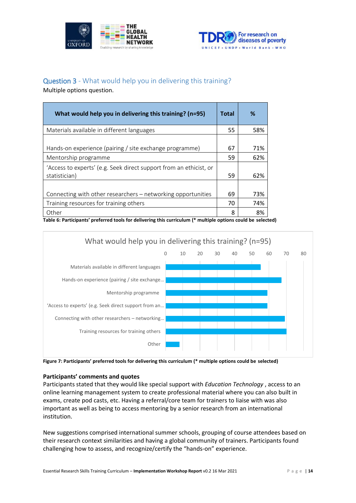



### <span id="page-13-0"></span>Question 3 - What would help you in delivering this training?

Multiple options question.

| What would help you in delivering this training? (n=95)                             | <b>Total</b> | ℅   |
|-------------------------------------------------------------------------------------|--------------|-----|
| Materials available in different languages                                          | 55           | 58% |
| Hands-on experience (pairing / site exchange programme)                             | 67           | 71% |
| Mentorship programme                                                                | 59           | 62% |
| 'Access to experts' (e.g. Seek direct support from an ethicist, or<br>statistician) | 59           | 62% |
| Connecting with other researchers – networking opportunities                        | 69           | 73% |
| Training resources for training others                                              | 70           | 74% |
| Other                                                                               | 8            | 8%  |

**Table 6: Participants' preferred tools for delivering this curriculum (\* multiple options could be selected)**



**Figure 7: Participants' preferred tools for delivering this curriculum (\* multiple options could be selected)**

### **Participants' comments and quotes**

Participants stated that they would like special support with *Education Technology* , access to an online learning management system to create professional material where you can also built in exams, create pod casts, etc. Having a referral/core team for trainers to liaise with was also important as well as being to access mentoring by a senior research from an international institution.

New suggestions comprised international summer schools, grouping of course attendees based on their research context similarities and having a global community of trainers. Participants found challenging how to assess, and recognize/certify the "hands-on" experience.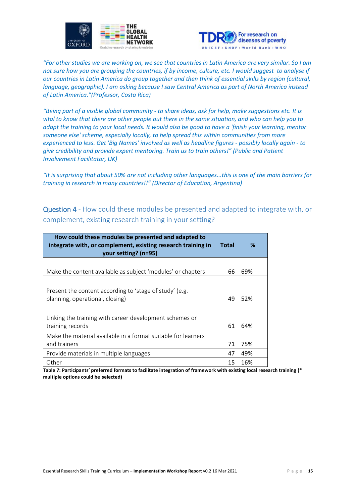



*"For other studies we are working on, we see that countries in Latin America are very similar. So I am not sure how you are grouping the countries, if by income, culture, etc. I would suggest to analyse if our countries in Latin America do group together and then think of essential skills by region (cultural, language, geographic). I am asking because I saw Central America as part of North America instead of Latin America."(Professor, Costa Rica)*

*"Being part of a visible global community - to share ideas, ask for help, make suggestions etc. It is vital to know that there are other people out there in the same situation, and who can help you to adapt the training to your local needs. It would also be good to have a 'finish your learning, mentor someone else' scheme, especially locally, to help spread this within communities from more experienced to less. Get 'Big Names' involved as well as headline figures - possibly locally again - to give credibility and provide expert mentoring. Train us to train others!" (Public and Patient Involvement Facilitator, UK)*

*"It is surprising that about 50% are not including other languages...this is one of the main barriers for training in research in many countries!!" (Director of Education, Argentina)*

<span id="page-14-0"></span>Question 4 - How could these modules be presented and adapted to integrate with, or complement, existing research training in your setting?

| How could these modules be presented and adapted to<br>integrate with, or complement, existing research training in<br>your setting? (n=95) | <b>Total</b> | %   |
|---------------------------------------------------------------------------------------------------------------------------------------------|--------------|-----|
|                                                                                                                                             |              |     |
| Make the content available as subject 'modules' or chapters                                                                                 | 66           | 69% |
| Present the content according to 'stage of study' (e.g.<br>planning, operational, closing)                                                  | 49           | 52% |
|                                                                                                                                             |              |     |
| Linking the training with career development schemes or                                                                                     |              |     |
| training records                                                                                                                            | 61           | 64% |
| Make the material available in a format suitable for learners                                                                               |              |     |
| and trainers                                                                                                                                | 71           | 75% |
| Provide materials in multiple languages                                                                                                     | 47           | 49% |
| Other                                                                                                                                       | 15           | 16% |

**Table 7: Participants' preferred formats to facilitate integration of framework with existing local research training (\* multiple options could be selected)**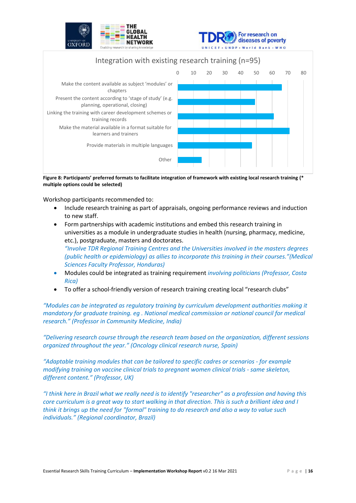





**Figure 8: Participants' preferred formats to facilitate integration of framework with existing local research training (\* multiple options could be selected)**

Workshop participants recommended to:

- Include research training as part of appraisals, ongoing performance reviews and induction to new staff.
- Form partnerships with academic institutions and embed this research training in universities as a module in undergraduate studies in health (nursing, pharmacy, medicine, etc.), postgraduate, masters and doctorates. *"Involve TDR Regional Training Centres and the Universities involved in the masters degrees (public health or epidemiology) as allies to incorporate this training in their courses."(Medical Sciences Faculty Professor, Honduras)*
- Modules could be integrated as training requirement *involving politicians (Professor, Costa Rica)*
- To offer a school-friendly version of research training creating local "research clubs"

*"Modules can be integrated as regulatory training by curriculum development authorities making it mandatory for graduate training. eg . National medical commission or national council for medical research." (Professor in Community Medicine, India)*

*"Delivering research course through the research team based on the organization, different sessions organized throughout the year." (Oncology clinical research nurse, Spain)*

*"Adaptable training modules that can be tailored to specific cadres or scenarios - for example modifying training on vaccine clinical trials to pregnant women clinical trials - same skeleton, different content." (Professor, UK)*

*"I think here in Brazil what we really need is to identify "researcher" as a profession and having this core curriculum is a great way to start walking in that direction. This is such a brilliant idea and I think it brings up the need for "formal" training to do research and also a way to value such individuals." (Regional coordinator, Brazil)*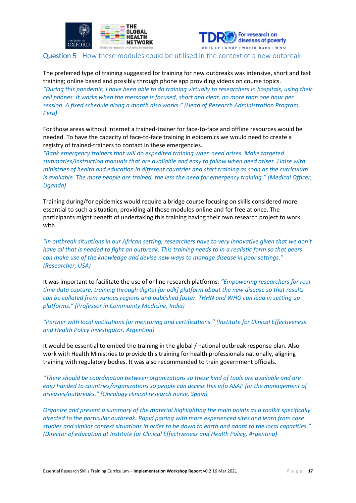



<span id="page-16-0"></span>Question 5 - How these modules could be utilised in the context of a new outbreak

The preferred type of training suggested for training for new outbreaks was intensive, short and fast training; online based and possibly through phone app providing videos on course topics. *"During this pandemic, I have been able to do training virtually to researchers in hospitals, using their cell phones. It works when the message is focused, short and clear, no more than one hour per session. A fixed schedule along a month also works." (Head of Research Administration Program, Peru)*

For those areas without internet a trained-trainer for face-to-face and offline resources would be needed. To have the capacity of face-to-face training in epidemics we would need to create a registry of trained-trainers to contact in these emergencies.

*"Bank emergency trainers that will do expedited training when need arises. Make targeted summaries/instruction manuals that are available and easy to follow when need arises. Liaise with ministries of health and education in different countries and start training as soon as the curriculum is available. The more people are trained, the less the need for emergency training." (Medical Officer, Uganda)*

Training during/for epidemics would require a bridge course focusing on skills considered more essential to such a situation, providing all those modules online and for free at once. The participants might benefit of undertaking this training having their own research project to work with.

*"In outbreak situations in our African setting, researchers have to very innovative given that we don't have all that is needed to fight an outbreak. This training needs to in a realistic form so that peers can make use of the knowledge and devise new ways to manage disease in poor settings." (Researcher, USA)*

It was important to facilitate the use of online research platforms*: "Empowering researchers for real time data capture, training through digital [or odk] platform about the new disease so that results can be collated from various regions and published faster. THHN and WHO can lead in setting up platforms." (Professor in Community Medicine, India)*

*"Partner with local institutions for mentoring and certifications." (Institute for Clinical Effectiveness and Health Policy Investigator, Argentina)*

It would be essential to embed the training in the global / national outbreak response plan. Also work with Health Ministries to provide this training for health professionals nationally, aligning training with regulatory bodies. It was also recommended to train government officials.

*"There should be coordination between organizations so these kind of tools are available and are easy handed to countries/organizations so people can access this info ASAP for the management of diseases/outbreaks." (Oncology clinical research nurse, Spain)*

*Organize and present a summary of the material highlighting the main points as a toolkit specifically directed to the particular outbreak. Rapid pairing with more experienced sites and learn from case studies and similar context situations in order to be down to earth and adapt to the local capacities." (Director of education at Institute for Clinical Effectiveness and Health Policy, Argentina)*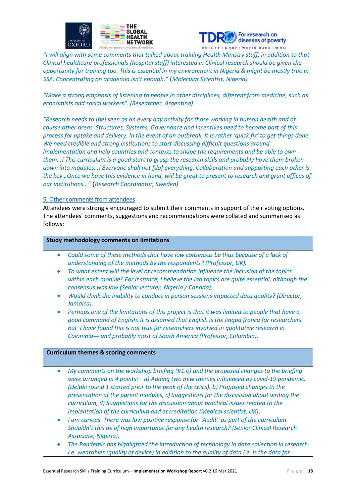



*"I will align with some comments that talked about training Health Ministry staff, in addition to that Clinical healthcare professionals (hospital staff) interested in Clinical research should be given the opportunity for training too. This is essential in my environment in Nigeria & might be mostly true in SSA. Concentrating on academia isn't enough."* (*Molecular Scientist, Nigeria)*

*"Make a strong emphasis of listening to people in other disciplines, different from medicine, such as economists and social workers". (Researcher, Argentina)*

*"Research needs to [be] seen as an every day activity for those working in human health and of course other areas. Structures, Systems, Governance and Incentives need to become part of this process for uptake and delivery. In the event of an outbreak, it is rather 'quick fix' to get things done. We need credible and strong institutions to start discussing difficult questions around implementation and help countries and contexts to shape the requirements and be able to own them…! This curriculum is a good start to grasp the research skills and probably have them broken down into modules…! Everyone shall not [do] everything. Collaboration and supporting each other is the key…Once we have this evidence in hand, will be great to present to research and grant offices of our institutions…"* (*Research Coordinator, Sweden)*

### <span id="page-17-0"></span>5. Other comments from attendees

Attendees were strongly encouraged to submit their comments in support of their voting options. The attendees' comments, suggestions and recommendations were collated and summarised as follows:

### **Study methodology comments on limitations**

- *Could some of these methods that have low consensus be thus because of a lack of understanding of the methods by the respondents? (Professor, UK).*
- *To what extent will the level of recommendation influence the inclusion of the topics within each module? For instance, I believe the lab topics are quite essential, although the consensus was low (Senior lecturer, Nigeria / Canada).*
- *Would think the inability to conduct in person sessions impacted data quality? (Director, Jamaica).*
- *Perhaps one of the limitations of this project is that it was limited to people that have a good command of English. It is assumed that English is the lingua franca for researchers but I have found this is not true for researchers involved in qualitative research in Colombia--- and probably most of South America (Professor, Colombia).*

### **Curriculum themes & scoring comments**

- *My comments on the workshop briefing (V1.0) and the proposed changes to the briefing were arranged in 4 points: a) Adding two new themes influenced by covid-19 pandemic, (Delphi round 1 started prior to the peak of the crisis). b) Proposed changes to the presentation of the parent modules, c) Suggestions for the discussion about writing the curriculum, d) Suggestions for the discussion about practical issues related to the implantation of the curriculum and accreditation (Medical scientist, UK)*.
- *I am curious. There was low positive response for "Audit" as part of the curriculum. Shouldn't this be of high importance for any health research? (Senior Clinical Research Associate, Nigeria).*
- *The Pandemic has highlighted the introduction of technology in data collection in research i.e. wearables (quality of device) in addition to the quality of data i.e. is the data for*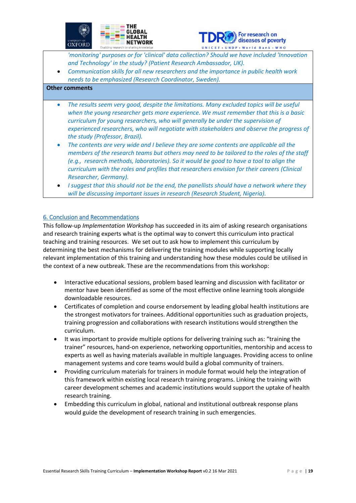



*'monitoring' purposes or for 'clinical' data collection? Should we have included 'Innovation and Technology' in the study? (Patient Research Ambassador, UK).*

• *Communication skills for all new researchers and the importance in public health work needs to be emphasized (Research Coordinator, Sweden).*

### **Other comments**

- *The results seem very good, despite the limitations. Many excluded topics will be useful when the young researcher gets more experience. We must remember that this is a basic curriculum for young researchers, who will generally be under the supervision of experienced researchers, who will negotiate with stakeholders and observe the progress of the study (Professor, Brazil).*
- *The contents are very wide and I believe they are some contents are applicable all the members of the research teams but others may need to be tailored to the roles of the staff (e.g., research methods, laboratories). So it would be good to have a tool to align the curriculum with the roles and profiles that researchers envision for their careers (Clinical Researcher, Germany).*
- *I suggest that this should not be the end, the panellists should have a network where they will be discussing important issues in research (Research Student, Nigeria).*

### <span id="page-18-0"></span>6. Conclusion and Recommendations

This follow-up *Implementation Workshop* has succeeded in its aim of asking research organisations and research training experts what is the optimal way to convert this curriculum into practical teaching and training resources. We set out to ask how to implement this curriculum by determining the best mechanisms for delivering the training modules while supporting locally relevant implementation of this training and understanding how these modules could be utilised in the context of a new outbreak. These are the recommendations from this workshop:

- Interactive educational sessions, problem based learning and discussion with facilitator or mentor have been identified as some of the most effective online learning tools alongside downloadable resources.
- Certificates of completion and course endorsement by leading global health institutions are the strongest motivators for trainees. Additional opportunities such as graduation projects, training progression and collaborations with research institutions would strengthen the curriculum.
- It was important to provide multiple options for delivering training such as: "training the trainer" resources, hand-on experience, networking opportunities, mentorship and access to experts as well as having materials available in multiple languages. Providing access to online management systems and core teams would build a global community of trainers.
- Providing curriculum materials for trainers in module format would help the integration of this framework within existing local research training programs. Linking the training with career development schemes and academic institutions would support the uptake of health research training.
- Embedding this curriculum in global, national and institutional outbreak response plans would guide the development of research training in such emergencies.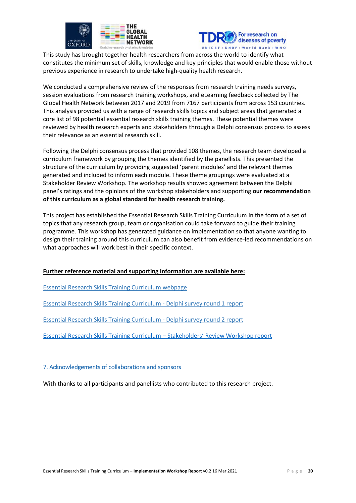



This study has brought together health researchers from across the world to identify what constitutes the minimum set of skills, knowledge and key principles that would enable those without previous experience in research to undertake high-quality health research.

We conducted a comprehensive review of the responses from research training needs surveys, session evaluations from research training workshops, and eLearning feedback collected by The Global Health Network between 2017 and 2019 from 7167 participants from across 153 countries. This analysis provided us with a range of research skills topics and subject areas that generated a core list of 98 potential essential research skills training themes. These potential themes were reviewed by health research experts and stakeholders through a Delphi consensus process to assess their relevance as an essential research skill.

Following the Delphi consensus process that provided 108 themes, the research team developed a curriculum framework by grouping the themes identified by the panellists. This presented the structure of the curriculum by providing suggested 'parent modules' and the relevant themes generated and included to inform each module. These theme groupings were evaluated at a Stakeholder Review Workshop. The workshop results showed agreement between the Delphi panel's ratings and the opinions of the workshop stakeholders and supporting **our recommendation of this curriculum as a global standard for health research training.**

This project has established the Essential Research Skills Training Curriculum in the form of a set of topics that any research group, team or organisation could take forward to guide their training programme. This workshop has generated guidance on implementation so that anyone wanting to design their training around this curriculum can also benefit from evidence-led recommendations on what approaches will work best in their specific context.

### **Further reference material and supporting information are available here:**

[Essential Research Skills Training Curriculum webpage](https://globalresearchmethods.tghn.org/methodology-projects/essential-research-skills-training-curriculum/)

[Essential Research Skills Training Curriculum -](https://media.tghn.org/medialibrary/2020/10/2020-10-22_Essential_research_skills_Delphi_-_ROUND_1_General_Report_v3_22Oct20.pdf) Delphi survey round 1 report

[Essential Research Skills Training Curriculum -](https://media.tghn.org/medialibrary/2020/11/Essential_research_skills_Delphi_-_ROUND_2_Panel_Report_v1.0_05Nov2020.pdf) Delphi survey round 2 report

[Essential Research Skills Training Curriculum](https://media.tghn.org/medialibrary/2021/03/Workshop_Essential_Research_Skills_Stakeholders_REPORT_v3.0_2021-03-04.pdf) – Stakeholders' Review Workshop report

### <span id="page-19-0"></span>7. Acknowledgements of collaborations and sponsors

With thanks to all participants and panellists who contributed to this research project.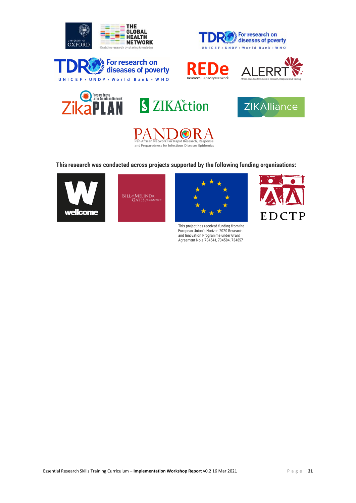

















This research was conducted across projects supported by the following funding organisations:







This project has received funding from the European Union's Horizon 2020 Research<br>and Innovation Programme under Grant<br>Agreement No.s 734548, 734584, 734857

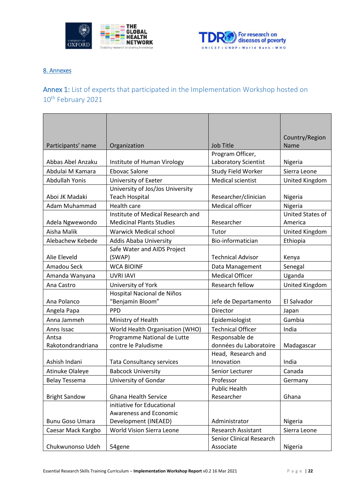



### <span id="page-21-0"></span>8. Annexes

### <span id="page-21-1"></span>Annex 1: List of experts that participated in the Implementation Workshop hosted on 10<sup>th</sup> February 2021

| Country/Region<br>Participants' name<br><b>Job Title</b><br>Organization<br>Name<br>Program Officer,<br><b>Laboratory Scientist</b><br>Abbas Abel Anzaku<br>Institute of Human Virology<br>Nigeria<br>Study Field Worker<br>Abdulai M Kamara<br>Ebovac Salone<br>Sierra Leone<br><b>Medical scientist</b><br>Abdullah Yonis<br>University of Exeter<br>United Kingdom<br>University of Jos/Jos University<br><b>Teach Hospital</b><br>Aboi JK Madaki<br>Researcher/clinician<br>Nigeria<br>Medical officer<br>Adam Muhammad<br>Health care<br>Nigeria<br>Institute of Medical Research and<br>United States of<br><b>Medicinal Plants Studies</b><br>Researcher<br>Adela Ngwewondo<br>America<br>Aisha Malik<br><b>Warwick Medical school</b><br>Tutor<br>United Kingdom<br>Bio-informatician<br>Alebachew Kebede<br>Ethiopia<br>Addis Ababa University<br>Safe Water and AIDS Project<br>Alie Eleveld<br><b>Technical Advisor</b><br>(SWAP)<br>Kenya<br>Amadou Seck<br><b>WCA BIOINF</b><br>Data Management<br>Senegal<br><b>Medical Officer</b><br>Uganda<br>Amanda Wanyana<br><b>UVRI IAVI</b><br>University of York<br>Research fellow<br>United Kingdom<br>Ana Castro<br>Hospital Nacional de Niños<br>"Benjamín Bloom"<br>El Salvador<br>Ana Polanco<br>Jefe de Departamento<br>Director<br>Angela Papa<br><b>PPD</b><br>Japan<br>Gambia<br>Anna Jammeh<br>Epidemiologist<br>Ministry of Health<br><b>Technical Officer</b><br>World Health Organisation (WHO)<br>India<br>Anns Issac<br>Programme National de Lutte<br>Responsable de<br>Antsa<br>Rakotondrandriana<br>contre le Paludisme<br>données du Laboratoire<br>Madagascar<br>Head, Research and<br>India<br>Ashish Indani<br><b>Tata Consultancy services</b><br>Innovation<br><b>Atinuke Olaleye</b><br><b>Babcock University</b><br>Canada<br>Senior Lecturer<br>University of Gondar<br><b>Belay Tessema</b><br>Professor<br>Germany<br><b>Public Health</b><br><b>Bright Sandow</b><br><b>Ghana Health Service</b><br>Researcher<br>Ghana<br>initiative for Educational<br>Awareness and Economic<br>Development (INEAED)<br><b>Bunu Goso Umara</b><br>Administrator<br>Nigeria<br>World Vision Sierra Leone<br><b>Research Assistant</b><br>Sierra Leone<br>Caesar Mack Kargbo<br><b>Senior Clinical Research</b> |                  |        |           |         |
|----------------------------------------------------------------------------------------------------------------------------------------------------------------------------------------------------------------------------------------------------------------------------------------------------------------------------------------------------------------------------------------------------------------------------------------------------------------------------------------------------------------------------------------------------------------------------------------------------------------------------------------------------------------------------------------------------------------------------------------------------------------------------------------------------------------------------------------------------------------------------------------------------------------------------------------------------------------------------------------------------------------------------------------------------------------------------------------------------------------------------------------------------------------------------------------------------------------------------------------------------------------------------------------------------------------------------------------------------------------------------------------------------------------------------------------------------------------------------------------------------------------------------------------------------------------------------------------------------------------------------------------------------------------------------------------------------------------------------------------------------------------------------------------------------------------------------------------------------------------------------------------------------------------------------------------------------------------------------------------------------------------------------------------------------------------------------------------------------------------------------------------------------------------------------------------------------------------------------------------------------------------------------------------|------------------|--------|-----------|---------|
|                                                                                                                                                                                                                                                                                                                                                                                                                                                                                                                                                                                                                                                                                                                                                                                                                                                                                                                                                                                                                                                                                                                                                                                                                                                                                                                                                                                                                                                                                                                                                                                                                                                                                                                                                                                                                                                                                                                                                                                                                                                                                                                                                                                                                                                                                        |                  |        |           |         |
|                                                                                                                                                                                                                                                                                                                                                                                                                                                                                                                                                                                                                                                                                                                                                                                                                                                                                                                                                                                                                                                                                                                                                                                                                                                                                                                                                                                                                                                                                                                                                                                                                                                                                                                                                                                                                                                                                                                                                                                                                                                                                                                                                                                                                                                                                        |                  |        |           |         |
|                                                                                                                                                                                                                                                                                                                                                                                                                                                                                                                                                                                                                                                                                                                                                                                                                                                                                                                                                                                                                                                                                                                                                                                                                                                                                                                                                                                                                                                                                                                                                                                                                                                                                                                                                                                                                                                                                                                                                                                                                                                                                                                                                                                                                                                                                        |                  |        |           |         |
|                                                                                                                                                                                                                                                                                                                                                                                                                                                                                                                                                                                                                                                                                                                                                                                                                                                                                                                                                                                                                                                                                                                                                                                                                                                                                                                                                                                                                                                                                                                                                                                                                                                                                                                                                                                                                                                                                                                                                                                                                                                                                                                                                                                                                                                                                        |                  |        |           |         |
|                                                                                                                                                                                                                                                                                                                                                                                                                                                                                                                                                                                                                                                                                                                                                                                                                                                                                                                                                                                                                                                                                                                                                                                                                                                                                                                                                                                                                                                                                                                                                                                                                                                                                                                                                                                                                                                                                                                                                                                                                                                                                                                                                                                                                                                                                        |                  |        |           |         |
|                                                                                                                                                                                                                                                                                                                                                                                                                                                                                                                                                                                                                                                                                                                                                                                                                                                                                                                                                                                                                                                                                                                                                                                                                                                                                                                                                                                                                                                                                                                                                                                                                                                                                                                                                                                                                                                                                                                                                                                                                                                                                                                                                                                                                                                                                        |                  |        |           |         |
|                                                                                                                                                                                                                                                                                                                                                                                                                                                                                                                                                                                                                                                                                                                                                                                                                                                                                                                                                                                                                                                                                                                                                                                                                                                                                                                                                                                                                                                                                                                                                                                                                                                                                                                                                                                                                                                                                                                                                                                                                                                                                                                                                                                                                                                                                        |                  |        |           |         |
|                                                                                                                                                                                                                                                                                                                                                                                                                                                                                                                                                                                                                                                                                                                                                                                                                                                                                                                                                                                                                                                                                                                                                                                                                                                                                                                                                                                                                                                                                                                                                                                                                                                                                                                                                                                                                                                                                                                                                                                                                                                                                                                                                                                                                                                                                        |                  |        |           |         |
|                                                                                                                                                                                                                                                                                                                                                                                                                                                                                                                                                                                                                                                                                                                                                                                                                                                                                                                                                                                                                                                                                                                                                                                                                                                                                                                                                                                                                                                                                                                                                                                                                                                                                                                                                                                                                                                                                                                                                                                                                                                                                                                                                                                                                                                                                        |                  |        |           |         |
|                                                                                                                                                                                                                                                                                                                                                                                                                                                                                                                                                                                                                                                                                                                                                                                                                                                                                                                                                                                                                                                                                                                                                                                                                                                                                                                                                                                                                                                                                                                                                                                                                                                                                                                                                                                                                                                                                                                                                                                                                                                                                                                                                                                                                                                                                        |                  |        |           |         |
|                                                                                                                                                                                                                                                                                                                                                                                                                                                                                                                                                                                                                                                                                                                                                                                                                                                                                                                                                                                                                                                                                                                                                                                                                                                                                                                                                                                                                                                                                                                                                                                                                                                                                                                                                                                                                                                                                                                                                                                                                                                                                                                                                                                                                                                                                        |                  |        |           |         |
|                                                                                                                                                                                                                                                                                                                                                                                                                                                                                                                                                                                                                                                                                                                                                                                                                                                                                                                                                                                                                                                                                                                                                                                                                                                                                                                                                                                                                                                                                                                                                                                                                                                                                                                                                                                                                                                                                                                                                                                                                                                                                                                                                                                                                                                                                        |                  |        |           |         |
|                                                                                                                                                                                                                                                                                                                                                                                                                                                                                                                                                                                                                                                                                                                                                                                                                                                                                                                                                                                                                                                                                                                                                                                                                                                                                                                                                                                                                                                                                                                                                                                                                                                                                                                                                                                                                                                                                                                                                                                                                                                                                                                                                                                                                                                                                        |                  |        |           |         |
|                                                                                                                                                                                                                                                                                                                                                                                                                                                                                                                                                                                                                                                                                                                                                                                                                                                                                                                                                                                                                                                                                                                                                                                                                                                                                                                                                                                                                                                                                                                                                                                                                                                                                                                                                                                                                                                                                                                                                                                                                                                                                                                                                                                                                                                                                        |                  |        |           |         |
|                                                                                                                                                                                                                                                                                                                                                                                                                                                                                                                                                                                                                                                                                                                                                                                                                                                                                                                                                                                                                                                                                                                                                                                                                                                                                                                                                                                                                                                                                                                                                                                                                                                                                                                                                                                                                                                                                                                                                                                                                                                                                                                                                                                                                                                                                        |                  |        |           |         |
|                                                                                                                                                                                                                                                                                                                                                                                                                                                                                                                                                                                                                                                                                                                                                                                                                                                                                                                                                                                                                                                                                                                                                                                                                                                                                                                                                                                                                                                                                                                                                                                                                                                                                                                                                                                                                                                                                                                                                                                                                                                                                                                                                                                                                                                                                        |                  |        |           |         |
|                                                                                                                                                                                                                                                                                                                                                                                                                                                                                                                                                                                                                                                                                                                                                                                                                                                                                                                                                                                                                                                                                                                                                                                                                                                                                                                                                                                                                                                                                                                                                                                                                                                                                                                                                                                                                                                                                                                                                                                                                                                                                                                                                                                                                                                                                        |                  |        |           |         |
|                                                                                                                                                                                                                                                                                                                                                                                                                                                                                                                                                                                                                                                                                                                                                                                                                                                                                                                                                                                                                                                                                                                                                                                                                                                                                                                                                                                                                                                                                                                                                                                                                                                                                                                                                                                                                                                                                                                                                                                                                                                                                                                                                                                                                                                                                        |                  |        |           |         |
|                                                                                                                                                                                                                                                                                                                                                                                                                                                                                                                                                                                                                                                                                                                                                                                                                                                                                                                                                                                                                                                                                                                                                                                                                                                                                                                                                                                                                                                                                                                                                                                                                                                                                                                                                                                                                                                                                                                                                                                                                                                                                                                                                                                                                                                                                        |                  |        |           |         |
|                                                                                                                                                                                                                                                                                                                                                                                                                                                                                                                                                                                                                                                                                                                                                                                                                                                                                                                                                                                                                                                                                                                                                                                                                                                                                                                                                                                                                                                                                                                                                                                                                                                                                                                                                                                                                                                                                                                                                                                                                                                                                                                                                                                                                                                                                        |                  |        |           |         |
|                                                                                                                                                                                                                                                                                                                                                                                                                                                                                                                                                                                                                                                                                                                                                                                                                                                                                                                                                                                                                                                                                                                                                                                                                                                                                                                                                                                                                                                                                                                                                                                                                                                                                                                                                                                                                                                                                                                                                                                                                                                                                                                                                                                                                                                                                        |                  |        |           |         |
|                                                                                                                                                                                                                                                                                                                                                                                                                                                                                                                                                                                                                                                                                                                                                                                                                                                                                                                                                                                                                                                                                                                                                                                                                                                                                                                                                                                                                                                                                                                                                                                                                                                                                                                                                                                                                                                                                                                                                                                                                                                                                                                                                                                                                                                                                        |                  |        |           |         |
|                                                                                                                                                                                                                                                                                                                                                                                                                                                                                                                                                                                                                                                                                                                                                                                                                                                                                                                                                                                                                                                                                                                                                                                                                                                                                                                                                                                                                                                                                                                                                                                                                                                                                                                                                                                                                                                                                                                                                                                                                                                                                                                                                                                                                                                                                        |                  |        |           |         |
|                                                                                                                                                                                                                                                                                                                                                                                                                                                                                                                                                                                                                                                                                                                                                                                                                                                                                                                                                                                                                                                                                                                                                                                                                                                                                                                                                                                                                                                                                                                                                                                                                                                                                                                                                                                                                                                                                                                                                                                                                                                                                                                                                                                                                                                                                        |                  |        |           |         |
|                                                                                                                                                                                                                                                                                                                                                                                                                                                                                                                                                                                                                                                                                                                                                                                                                                                                                                                                                                                                                                                                                                                                                                                                                                                                                                                                                                                                                                                                                                                                                                                                                                                                                                                                                                                                                                                                                                                                                                                                                                                                                                                                                                                                                                                                                        |                  |        |           |         |
|                                                                                                                                                                                                                                                                                                                                                                                                                                                                                                                                                                                                                                                                                                                                                                                                                                                                                                                                                                                                                                                                                                                                                                                                                                                                                                                                                                                                                                                                                                                                                                                                                                                                                                                                                                                                                                                                                                                                                                                                                                                                                                                                                                                                                                                                                        |                  |        |           |         |
|                                                                                                                                                                                                                                                                                                                                                                                                                                                                                                                                                                                                                                                                                                                                                                                                                                                                                                                                                                                                                                                                                                                                                                                                                                                                                                                                                                                                                                                                                                                                                                                                                                                                                                                                                                                                                                                                                                                                                                                                                                                                                                                                                                                                                                                                                        |                  |        |           |         |
|                                                                                                                                                                                                                                                                                                                                                                                                                                                                                                                                                                                                                                                                                                                                                                                                                                                                                                                                                                                                                                                                                                                                                                                                                                                                                                                                                                                                                                                                                                                                                                                                                                                                                                                                                                                                                                                                                                                                                                                                                                                                                                                                                                                                                                                                                        |                  |        |           |         |
|                                                                                                                                                                                                                                                                                                                                                                                                                                                                                                                                                                                                                                                                                                                                                                                                                                                                                                                                                                                                                                                                                                                                                                                                                                                                                                                                                                                                                                                                                                                                                                                                                                                                                                                                                                                                                                                                                                                                                                                                                                                                                                                                                                                                                                                                                        |                  |        |           |         |
|                                                                                                                                                                                                                                                                                                                                                                                                                                                                                                                                                                                                                                                                                                                                                                                                                                                                                                                                                                                                                                                                                                                                                                                                                                                                                                                                                                                                                                                                                                                                                                                                                                                                                                                                                                                                                                                                                                                                                                                                                                                                                                                                                                                                                                                                                        |                  |        |           |         |
|                                                                                                                                                                                                                                                                                                                                                                                                                                                                                                                                                                                                                                                                                                                                                                                                                                                                                                                                                                                                                                                                                                                                                                                                                                                                                                                                                                                                                                                                                                                                                                                                                                                                                                                                                                                                                                                                                                                                                                                                                                                                                                                                                                                                                                                                                        |                  |        |           |         |
|                                                                                                                                                                                                                                                                                                                                                                                                                                                                                                                                                                                                                                                                                                                                                                                                                                                                                                                                                                                                                                                                                                                                                                                                                                                                                                                                                                                                                                                                                                                                                                                                                                                                                                                                                                                                                                                                                                                                                                                                                                                                                                                                                                                                                                                                                        |                  |        |           |         |
|                                                                                                                                                                                                                                                                                                                                                                                                                                                                                                                                                                                                                                                                                                                                                                                                                                                                                                                                                                                                                                                                                                                                                                                                                                                                                                                                                                                                                                                                                                                                                                                                                                                                                                                                                                                                                                                                                                                                                                                                                                                                                                                                                                                                                                                                                        |                  |        |           |         |
|                                                                                                                                                                                                                                                                                                                                                                                                                                                                                                                                                                                                                                                                                                                                                                                                                                                                                                                                                                                                                                                                                                                                                                                                                                                                                                                                                                                                                                                                                                                                                                                                                                                                                                                                                                                                                                                                                                                                                                                                                                                                                                                                                                                                                                                                                        |                  |        |           |         |
|                                                                                                                                                                                                                                                                                                                                                                                                                                                                                                                                                                                                                                                                                                                                                                                                                                                                                                                                                                                                                                                                                                                                                                                                                                                                                                                                                                                                                                                                                                                                                                                                                                                                                                                                                                                                                                                                                                                                                                                                                                                                                                                                                                                                                                                                                        |                  |        |           |         |
|                                                                                                                                                                                                                                                                                                                                                                                                                                                                                                                                                                                                                                                                                                                                                                                                                                                                                                                                                                                                                                                                                                                                                                                                                                                                                                                                                                                                                                                                                                                                                                                                                                                                                                                                                                                                                                                                                                                                                                                                                                                                                                                                                                                                                                                                                        | Chukwunonso Udeh | 54gene | Associate | Nigeria |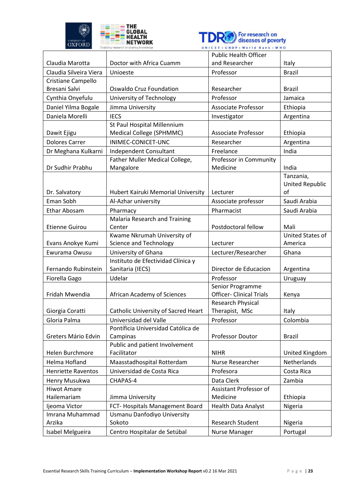



|                            |                                                  | <b>Public Health Officer</b>    |                              |
|----------------------------|--------------------------------------------------|---------------------------------|------------------------------|
| Claudia Marotta            | Doctor with Africa Cuamm                         | and Researcher                  | Italy                        |
| Claudia Silveira Viera     | Unioeste                                         | Professor                       | <b>Brazil</b>                |
| Cristiane Campello         |                                                  |                                 |                              |
| Bresani Salvi              | <b>Oswaldo Cruz Foundation</b>                   | Researcher                      | <b>Brazil</b>                |
| Cynthia Onyefulu           | University of Technology                         | Professor                       | Jamaica                      |
| Daniel Yilma Bogale        | Jimma University                                 | <b>Associate Professor</b>      | Ethiopia                     |
| Daniela Morelli            | <b>IECS</b>                                      | Investigator                    | Argentina                    |
|                            | St Paul Hospital Millennium                      |                                 |                              |
| Dawit Ejigu                | Medical College (SPHMMC)                         | Associate Professor             | Ethiopia                     |
| <b>Dolores Carrer</b>      | INIMEC-CONICET-UNC                               | Researcher                      | Argentina                    |
| Dr Meghana Kulkarni        | Independent Consultant                           | Freelance                       | India                        |
|                            | Father Muller Medical College,                   | Professor in Community          |                              |
| Dr Sudhir Prabhu           | Mangalore                                        | Medicine                        | India                        |
|                            |                                                  |                                 | Tanzania,                    |
|                            | Hubert Kairuki Memorial University               | Lecturer                        | <b>United Republic</b><br>of |
| Dr. Salvatory<br>Eman Sobh |                                                  |                                 | Saudi Arabia                 |
|                            | Al-Azhar university                              | Associate professor             |                              |
| Ethar Abosam               | Pharmacy<br><b>Malaria Research and Training</b> | Pharmacist                      | Saudi Arabia                 |
| <b>Etienne Guirou</b>      | Center                                           | Postdoctoral fellow             | Mali                         |
|                            | Kwame Nkrumah University of                      |                                 | <b>United States of</b>      |
| Evans Anokye Kumi          | <b>Science and Technology</b>                    | Lecturer                        | America                      |
| Ewurama Owusu              | University of Ghana                              | Lecturer/Researcher             | Ghana                        |
|                            | Instituto de Efectividad Clínica y               |                                 |                              |
| Fernando Rubinstein        | Sanitaria (IECS)                                 | Director de Educacion           | Argentina                    |
| Fiorella Gago              | Udelar                                           | Professor                       | Uruguay                      |
|                            |                                                  | Senior Programme                |                              |
| Fridah Mwendia             | African Academy of Sciences                      | <b>Officer- Clinical Trials</b> | Kenya                        |
|                            |                                                  | <b>Research Physical</b>        |                              |
| Giorgia Coratti            | Catholic University of Sacred Heart              | Therapist, MSc                  | Italy                        |
| Gloria Palma               | Universidad del Valle                            | Professor                       | Colombia                     |
| Greters Mário Edvin        | Pontíficia Universidad Católica de               |                                 |                              |
|                            | Campinas<br>Public and patient Involvement       | Professor Doutor                | <b>Brazil</b>                |
| Helen Burchmore            | Facilitator                                      | <b>NIHR</b>                     | United Kingdom               |
| Helma Hofland              | Maasstadhospital Rotterdam                       | Nurse Researcher                | Netherlands                  |
| <b>Henriette Raventos</b>  | Universidad de Costa Rica                        | Profesora                       | Costa Rica                   |
| Henry Musukwa              | CHAPAS-4                                         | Data Clerk                      | Zambia                       |
| <b>Hiwot Amare</b>         |                                                  | Assistant Professor of          |                              |
| Hailemariam                | Jimma University                                 | Medicine                        | Ethiopia                     |
| Ijeoma Victor              | FCT- Hospitals Management Board                  | <b>Health Data Analyst</b>      | Nigeria                      |
| Imrana Muhammad            | Usmanu Danfodiyo University                      |                                 |                              |
| Arzika                     | Sokoto                                           | Research Student                | Nigeria                      |
| Isabel Melgueira           | Centro Hospitalar de Setúbal                     | <b>Nurse Manager</b>            | Portugal                     |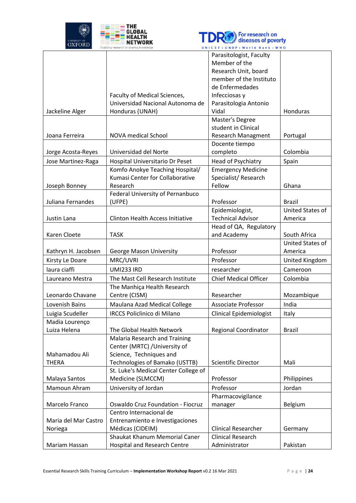



|                      |                                          | Parasitologist, Faculty        |                  |
|----------------------|------------------------------------------|--------------------------------|------------------|
|                      |                                          | Member of the                  |                  |
|                      |                                          | Research Unit, board           |                  |
|                      |                                          | member of the Instituto        |                  |
|                      |                                          | de Enfermedades                |                  |
|                      | Faculty of Medical Sciences,             | Infecciosas y                  |                  |
|                      | Universidad Nacional Autonoma de         | Parasitologia Antonio          |                  |
| Jackeline Alger      | Honduras (UNAH)                          | Vidal                          | Honduras         |
|                      |                                          | Master's Degree                |                  |
|                      |                                          | student in Clinical            |                  |
| Joana Ferreira       | <b>NOVA medical School</b>               | Research Managment             | Portugal         |
|                      |                                          | Docente tiempo                 |                  |
| Jorge Acosta-Reyes   | Universidad del Norte                    | completo                       | Colombia         |
| Jose Martinez-Raga   | Hospital Universitario Dr Peset          | Head of Psychiatry             | Spain            |
|                      | Komfo Anokye Teaching Hospital/          | <b>Emergency Medicine</b>      |                  |
|                      | Kumasi Center for Collaborative          | Specialist/Research            |                  |
| Joseph Bonney        | Research                                 | Fellow                         | Ghana            |
|                      | Federal University of Pernanbuco         |                                |                  |
| Juliana Fernandes    | (UFPE)                                   | Professor                      | <b>Brazil</b>    |
|                      |                                          | Epidemiologist,                | United States of |
| Justin Lana          | <b>Clinton Health Access Initiative</b>  | <b>Technical Advisor</b>       | America          |
|                      |                                          | Head of QA, Regulatory         |                  |
| Karen Cloete         | <b>TASK</b>                              | and Academy                    | South Africa     |
|                      |                                          |                                | United States of |
| Kathryn H. Jacobsen  | George Mason University                  | Professor                      | America          |
| Kirsty Le Doare      | MRC/UVRI                                 | Professor                      | United Kingdom   |
| laura ciaffi         | <b>UMI233 IRD</b>                        | researcher                     | Cameroon         |
| Laureano Mestra      | The Mast Cell Research Institute         | <b>Chief Medical Officer</b>   | Colombia         |
|                      | The Manhiça Health Research              |                                |                  |
| Leonardo Chavane     | Centre (CISM)                            | Researcher                     | Mozambique       |
| Lovenish Bains       | Maulana Azad Medical College             | <b>Associate Professor</b>     | India            |
| Luigia Scudeller     | <b>IRCCS Policlinico di Milano</b>       | <b>Clinical Epidemiologist</b> | Italy            |
| Madia Lourenço       |                                          |                                |                  |
| Luiza Helena         | The Global Health Network                | <b>Regional Coordinator</b>    | <b>Brazil</b>    |
|                      | <b>Malaria Research and Training</b>     |                                |                  |
|                      | Center (MRTC) / University of            |                                |                  |
| Mahamadou Ali        | Science, Techniques and                  |                                |                  |
| <b>THERA</b>         | Technologies of Bamako (USTTB)           | <b>Scientific Director</b>     | Mali             |
|                      | St. Luke's Medical Center College of     |                                |                  |
| Malaya Santos        | Medicine (SLMCCM)                        | Professor                      | Philippines      |
| Mamoun Ahram         | University of Jordan                     | Professor                      | Jordan           |
|                      |                                          | Pharmacovigilance              |                  |
| Marcelo Franco       | <b>Oswaldo Cruz Foundation - Fiocruz</b> | manager                        | <b>Belgium</b>   |
|                      | Centro Internacional de                  |                                |                  |
| Maria del Mar Castro | Entrenamiento e Investigaciones          |                                |                  |
| Noriega              | Médicas (CIDEIM)                         | <b>Clinical Researcher</b>     | Germany          |
|                      | Shaukat Khanum Memorial Caner            | <b>Clinical Research</b>       |                  |
| Mariam Hassan        | <b>Hospital and Research Centre</b>      | Administrator                  | Pakistan         |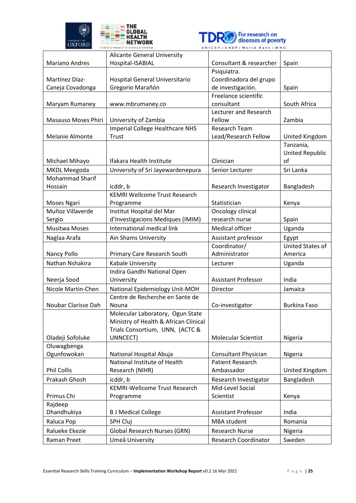



|                                 | <b>Alicante General University</b>                                |                               |                                  |
|---------------------------------|-------------------------------------------------------------------|-------------------------------|----------------------------------|
| <b>Mariano Andres</b>           | Hospital-ISABIAL                                                  | Consultant & researcher       | Spain                            |
|                                 |                                                                   | Psiquiatra.                   |                                  |
| Martínez Díaz-                  | Hospital General Universitario                                    | Coordinadora del grupo        |                                  |
| Caneja Covadonga                | Gregorio Marañón                                                  | de investigación.             | Spain                            |
|                                 |                                                                   | Freelance scientific          |                                  |
| Maryam Rumaney                  | www.mbrumaney.co                                                  | consultant                    | South Africa                     |
|                                 |                                                                   | Lecturer and Research         |                                  |
| Masauso Moses Phiri             | University of Zambia                                              | Fellow                        | Zambia                           |
|                                 | <b>Imperial College Healthcare NHS</b>                            | <b>Research Team</b>          |                                  |
| Melanie Almonte                 | Trust                                                             | Lead/Research Fellow          | United Kingdom                   |
|                                 |                                                                   |                               | Tanzania,                        |
|                                 |                                                                   |                               | <b>United Republic</b>           |
| Michael Mihayo                  | Ifakara Health Institute                                          | Clinician                     | of                               |
| MKDL Meegoda                    | University of Sri Jayewardenepura                                 | Senior Lecturer               | Sri Lanka                        |
| <b>Mohammad Sharif</b>          |                                                                   |                               |                                  |
| Hossain                         | icddr, b                                                          | Research Investigator         | Bangladesh                       |
|                                 | <b>KEMRI Wellcome Trust Research</b>                              | Statistician                  | Kenya                            |
| Moses Ngari<br>Muñoz Villaverde | Programme<br>Institut Hospital del Mar                            | Oncology clinical             |                                  |
| Sergio                          | d'Investigacions Mediques (IMIM)                                  | research nurse                | Spain                            |
| <b>Musitwa Moses</b>            | International medical link                                        | Medical officer               | Uganda                           |
|                                 |                                                                   |                               |                                  |
| Naglaa Arafa                    | Ain Shams University                                              | Assistant professor           | Egypt<br><b>United States of</b> |
|                                 |                                                                   | Coordinator/<br>Administrator | America                          |
| Nancy Pollo                     | Primary Care Research South                                       |                               |                                  |
| Nathan Nshakira                 | Kabale University                                                 | Lecturer                      | Uganda                           |
| Neerja Sood                     | Indira Gandhi National Open<br>University                         | <b>Assistant Professor</b>    | India                            |
| Nicole Martin-Chen              |                                                                   | Director                      | Jamaica                          |
|                                 | National Epidemiology Unit-MOH<br>Centre de Recherche en Sante de |                               |                                  |
| Noubar Clarisse Dah             | Nouna                                                             | Co-investigator               | <b>Burkina Faso</b>              |
|                                 | Molecular Laboratory, Ogun State                                  |                               |                                  |
|                                 | Ministry of Health & African Clinical                             |                               |                                  |
|                                 | Trials Consortium, UNN, (ACTC &                                   |                               |                                  |
| Oladeji Sofoluke                | UNNCECT)                                                          | Molecular Scientist           | Nigeria                          |
| Oluwagbenga                     |                                                                   |                               |                                  |
| Ogunfowokan                     | National Hospital Abuja                                           | <b>Consultant Physician</b>   | Nigeria                          |
|                                 | National Institute of Health                                      | <b>Patient Research</b>       |                                  |
| <b>Phil Collis</b>              | Research (NIHR)                                                   | Ambassador                    | United Kingdom                   |
| Prakash Ghosh                   | icddr, b                                                          | Research Investigator         | Bangladesh                       |
|                                 | <b>KEMRI-Wellcome Trust Research</b>                              | Mid-Level Social              |                                  |
| Primus Chi                      | Programme                                                         | Scientist                     | Kenya                            |
| Rajdeep                         |                                                                   |                               |                                  |
| Dhandhukiya                     | <b>B J Medical College</b>                                        | <b>Assistant Professor</b>    | India                            |
| Raluca Pop                      | SPH Cluj                                                          | MBA student                   | Romania                          |
| Ralueke Ekezie                  | <b>Global Research Nurses (GRN)</b>                               | <b>Research Nurse</b>         | Nigeria                          |
| Raman Preet                     | Umeå University                                                   | <b>Research Coordinator</b>   | Sweden                           |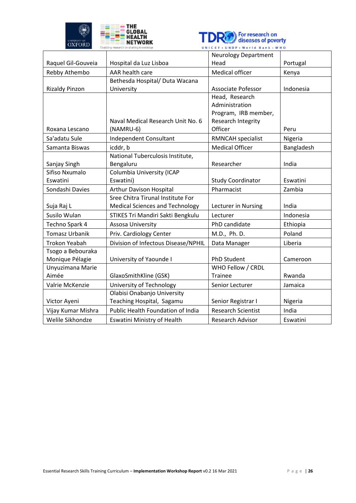



|                       |                                        | <b>Neurology Department</b> |            |
|-----------------------|----------------------------------------|-----------------------------|------------|
| Raquel Gil-Gouveia    | Hospital da Luz Lisboa                 | Head                        | Portugal   |
| Rebby Athembo         | AAR health care                        | Medical officer             | Kenya      |
|                       | Bethesda Hospital/ Duta Wacana         |                             |            |
| <b>Rizaldy Pinzon</b> | University                             | <b>Associate Pofessor</b>   | Indonesia  |
|                       |                                        | Head, Research              |            |
|                       |                                        | Administration              |            |
|                       |                                        | Program, IRB member,        |            |
|                       | Naval Medical Research Unit No. 6      | Research Integrity          |            |
| Roxana Lescano        | (NAMRU-6)                              | Officer                     | Peru       |
| Sa'adatu Sule         | Independent Consultant                 | RMNCAH specialist           | Nigeria    |
| Samanta Biswas        | icddr, b                               | <b>Medical Officer</b>      | Bangladesh |
|                       | National Tuberculosis Institute,       |                             |            |
| Sanjay Singh          | Bengaluru                              | Researcher                  | India      |
| Sifiso Nxumalo        | Columbia University (ICAP              |                             |            |
| Eswatini              | Eswatini)                              | <b>Study Coordinator</b>    | Eswatini   |
| Sondashi Davies       | Arthur Davison Hospital                | Pharmacist                  | Zambia     |
|                       | Sree Chitra Tirunal Institute For      |                             |            |
| Suja Raj L            | <b>Medical Sciences and Technology</b> | Lecturer in Nursing         | India      |
| Susilo Wulan          | STIKES Tri Mandiri Sakti Bengkulu      | Lecturer                    | Indonesia  |
| Techno Spark 4        | Assosa University                      | PhD candidate               | Ethiopia   |
| <b>Tomasz Urbanik</b> | Priv. Cardiology Center                | M.D., Ph. D.                | Poland     |
| <b>Trokon Yeabah</b>  | Division of Infectous Disease/NPHIL    | Data Manager                | Liberia    |
| Tsogo a Bebouraka     |                                        |                             |            |
| Monique Pélagie       | University of Yaounde I                | PhD Student                 | Cameroon   |
| Unyuzimana Marie      |                                        | WHO Fellow / CRDL           |            |
| Aimée                 | GlaxoSmithKline (GSK)                  | <b>Trainee</b>              | Rwanda     |
| Valrie McKenzie       | University of Technology               | Senior Lecturer             | Jamaica    |
|                       | Olabisi Onabanjo University            |                             |            |
| Victor Ayeni          | Teaching Hospital, Sagamu              | Senior Registrar I          | Nigeria    |
| Vijay Kumar Mishra    | Public Health Foundation of India      | <b>Research Scientist</b>   | India      |
| Welile Sikhondze      | <b>Eswatini Ministry of Health</b>     | Research Advisor            | Eswatini   |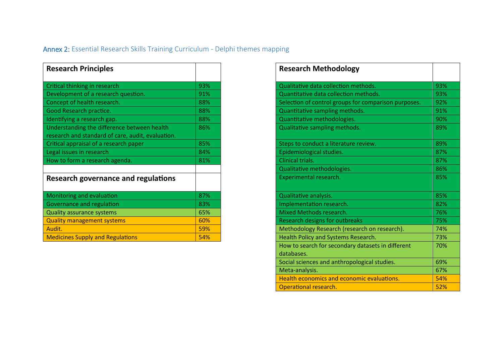# Annex 2: Essential Research Skills Training Curriculum - Delphi themes mapping

| <b>Research Principles</b>                                                                       |     |
|--------------------------------------------------------------------------------------------------|-----|
| Critical thinking in research                                                                    | 93% |
| Development of a research question.                                                              | 91% |
| Concept of health research.                                                                      | 88% |
| Good Research practice.                                                                          | 88% |
| Identifying a research gap.                                                                      | 88% |
| Understanding the difference between health<br>research and standard of care, audit, evaluation. | 86% |
| Critical appraisal of a research paper                                                           | 85% |
| Legal issues in research                                                                         | 84% |
| How to form a research agenda.                                                                   | 81% |
|                                                                                                  |     |
| Research governance and regulations                                                              |     |
| Monitoring and evaluation                                                                        | 87% |
| Governance and regulation                                                                        | 83% |
| <b>Quality assurance systems</b>                                                                 | 65% |
| <b>Quality management systems</b>                                                                | 60% |
| Audit.                                                                                           | 59% |
| <b>Medicines Supply and Regulations</b>                                                          | 54% |

<span id="page-26-0"></span>

| <b>Research Principles</b>                                                                       |     | <b>Research Methodology</b>                                     |
|--------------------------------------------------------------------------------------------------|-----|-----------------------------------------------------------------|
| Critical thinking in research                                                                    | 93% | Qualitative data collection methods.                            |
| Development of a research question.                                                              | 91% | Quantitative data collection methods.                           |
| Concept of health research.                                                                      | 88% | Selection of control groups for comparison purposes.            |
| Good Research practice.                                                                          | 88% | Quantitative sampling methods.                                  |
| Identifying a research gap.                                                                      | 88% | Quantitative methodologies.                                     |
| Understanding the difference between health<br>research and standard of care, audit, evaluation. | 86% | Qualitative sampling methods.                                   |
| Critical appraisal of a research paper                                                           | 85% | Steps to conduct a literature review.                           |
| Legal issues in research                                                                         | 84% | Epidemiological studies.                                        |
| How to form a research agenda.                                                                   | 81% | Clinical trials.                                                |
|                                                                                                  |     | Qualitative methodologies.                                      |
| <b>Research governance and regulations</b>                                                       |     | Experimental research.                                          |
| Monitoring and evaluation                                                                        | 87% | Qualitative analysis.                                           |
| <b>Governance and regulation</b>                                                                 | 83% | Implementation research.                                        |
| <b>Quality assurance systems</b>                                                                 | 65% | Mixed Methods research.                                         |
| <b>Quality management systems</b>                                                                | 60% | <b>Research designs for outbreaks</b>                           |
| Audit.                                                                                           | 59% | Methodology Research (research on research).                    |
| <b>Medicines Supply and Regulations</b>                                                          | 54% | Health Policy and Systems Research.                             |
|                                                                                                  |     | How to search for secondary datasets in different<br>databases. |
|                                                                                                  |     | Social sciences and anthropological studies.                    |
|                                                                                                  |     | Meta-analysis.                                                  |
|                                                                                                  |     | Health economics and economic evaluations.                      |
|                                                                                                  |     | Operational research.                                           |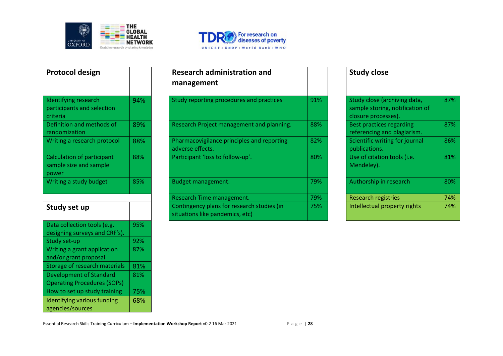



| Protocol design                                                      |     | <b>Research administration and</b><br>management          |
|----------------------------------------------------------------------|-----|-----------------------------------------------------------|
| Identifying research<br>participants and selection<br>criteria       | 94% | Study reporting procedures and practi                     |
| Definition and methods of<br>randomization                           | 89% | Research Project management and pla                       |
| Writing a research protocol                                          | 88% | Pharmacovigilance principles and repo<br>adverse effects. |
| <b>Calculation of participant</b><br>sample size and sample<br>power | 88% | Participant 'loss to follow-up'.                          |
| Writing a study budget                                               | 85% | Budget management.                                        |

| Study set up                       |     |
|------------------------------------|-----|
| Data collection tools (e.g.        | 95% |
| designing surveys and CRF's).      |     |
| Study set-up                       | 92% |
| Writing a grant application        | 87% |
| and/or grant proposal              |     |
| Storage of research materials      | 81% |
| <b>Development of Standard</b>     | 81% |
| <b>Operating Procedures (SOPs)</b> |     |
| How to set up study training       | 75% |
| <b>Identifying various funding</b> | 68% |
| agencies/sources                   |     |

| Protocol design                                                |     | <b>Research administration and</b><br>management                              |     | <b>Study close</b>                                                                     |     |
|----------------------------------------------------------------|-----|-------------------------------------------------------------------------------|-----|----------------------------------------------------------------------------------------|-----|
| Identifying research<br>participants and selection<br>criteria | 94% | Study reporting procedures and practices                                      | 91% | Study close (archiving data,<br>sample storing, notification of<br>closure processes). | 87% |
| Definition and methods of<br>randomization                     | 89% | Research Project management and planning.                                     | 88% | Best practices regarding<br>referencing and plagiarism.                                | 87% |
| Writing a research protocol                                    | 88% | Pharmacovigilance principles and reporting<br>adverse effects.                | 82% | Scientific writing for journal<br>publications.                                        | 86% |
| Calculation of participant<br>sample size and sample<br>power  | 88% | Participant 'loss to follow-up'.                                              | 80% | Use of citation tools (i.e.<br>Mendeley).                                              | 81% |
| Writing a study budget                                         | 85% | Budget management.                                                            | 79% | Authorship in research                                                                 | 80% |
|                                                                |     | Research Time management.                                                     | 79% | <b>Research registries</b>                                                             | 74% |
| Study set up                                                   |     | Contingency plans for research studies (in<br>situations like pandemics, etc) | 75% | Intellectual property rights                                                           | 74% |

|     | <b>Study close</b>                                                                     |     |
|-----|----------------------------------------------------------------------------------------|-----|
| 91% | Study close (archiving data,<br>sample storing, notification of<br>closure processes). | 87% |
| 88% | <b>Best practices regarding</b><br>referencing and plagiarism.                         | 87% |
| 82% | Scientific writing for journal<br>publications.                                        | 86% |
| 80% | Use of citation tools ( <i>i.e.</i><br>Mendeley).                                      | 81% |
| 79% | Authorship in research                                                                 | 80% |
| 79% | <b>Research registries</b>                                                             | 74% |
| 75% | Intellectual property rights                                                           | 74% |

Essential Research Skills Training Curriculum – **Implementation Workshop Report** v0.2 16 Mar 2021 P a g e | 28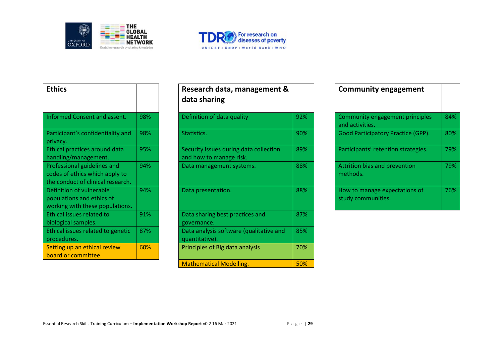



| <b>Ethics</b>                                                                                      |     | Research data, management &<br>data sharing                       |
|----------------------------------------------------------------------------------------------------|-----|-------------------------------------------------------------------|
| Informed Consent and assent.                                                                       | 98% | Definition of data quality                                        |
| Participant's confidentiality and<br>privacy.                                                      | 98% | Statistics.                                                       |
| Ethical practices around data<br>handling/management.                                              | 95% | Security issues during data collection<br>and how to manage risk. |
| Professional guidelines and<br>codes of ethics which apply to<br>the conduct of clinical research. | 94% | Data management systems.                                          |
| Definition of vulnerable<br>populations and ethics of<br>working with these populations.           | 94% | Data presentation.                                                |
| Ethical issues related to<br>biological samples.                                                   | 91% | Data sharing best practices and<br>governance.                    |
| Ethical issues related to genetic<br>procedures.                                                   | 87% | Data analysis software (qualitative and<br>quantitative).         |
| Setting up an ethical review<br>board or committee.                                                | 60% | Principles of Big data analysis                                   |

| <b>Ethics</b>                                                                                      |     | Research data, management &<br>data sharing                       |     | <b>Community engagement</b>                         |     |
|----------------------------------------------------------------------------------------------------|-----|-------------------------------------------------------------------|-----|-----------------------------------------------------|-----|
| <b>Informed Consent and assent.</b>                                                                | 98% | Definition of data quality                                        | 92% | Community engagement principles<br>and activities.  | 84% |
| Participant's confidentiality and<br>privacy.                                                      | 98% | Statistics.                                                       | 90% | <b>Good Participatory Practice (GPP).</b>           | 80% |
| Ethical practices around data<br>handling/management.                                              | 95% | Security issues during data collection<br>and how to manage risk. | 89% | Participants' retention strategies.                 | 79% |
| Professional guidelines and<br>codes of ethics which apply to<br>the conduct of clinical research. | 94% | Data management systems.                                          | 88% | Attrition bias and prevention<br>methods.           | 79% |
| Definition of vulnerable<br>populations and ethics of<br>working with these populations.           | 94% | Data presentation.                                                | 88% | How to manage expectations of<br>study communities. | 76% |
| <b>Ethical issues related to</b><br>biological samples.                                            | 91% | Data sharing best practices and<br>governance.                    | 87% |                                                     |     |
| Ethical issues related to genetic<br>procedures.                                                   | 87% | Data analysis software (qualitative and<br>quantitative).         | 85% |                                                     |     |
| Setting up an ethical review<br>board or committee.                                                | 60% | Principles of Big data analysis                                   | 70% |                                                     |     |
|                                                                                                    |     | <b>Mathematical Modelling.</b>                                    | 50% |                                                     |     |

| <b>Community engagement</b>                         |                                                  |
|-----------------------------------------------------|--------------------------------------------------|
| and activities.                                     | Community engagement principles<br>84%           |
|                                                     | 80%<br><b>Good Participatory Practice (GPP).</b> |
| Participants' retention strategies.                 | 79%                                              |
| Attrition bias and prevention<br>methods.           | 79%                                              |
| How to manage expectations of<br>study communities. | 76%                                              |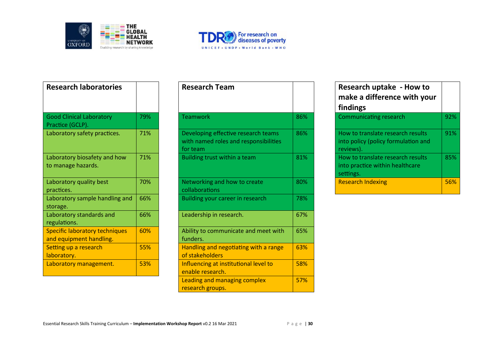



| <b>Research laboratories</b>                              |     | <b>Research Team</b>                                                                     |
|-----------------------------------------------------------|-----|------------------------------------------------------------------------------------------|
| <b>Good Clinical Laboratory</b><br>Practice (GCLP).       | 79% | Teamwork                                                                                 |
| Laboratory safety practices.                              | 71% | Developing effective research teams<br>with named roles and responsibilities<br>for team |
| Laboratory biosafety and how<br>to manage hazards.        | 71% | Building trust within a team                                                             |
| Laboratory quality best<br>practices.                     | 70% | Networking and how to create<br>collaborations                                           |
| Laboratory sample handling and<br>storage.                | 66% | Building your career in research                                                         |
| Laboratory standards and<br>regulations.                  | 66% | Leadership in research.                                                                  |
| Specific laboratory techniques<br>and equipment handling. | 60% | Ability to communicate and meet wit<br>funders.                                          |
| Setting up a research<br>laboratory.                      | 55% | Handling and negotiating with a rang<br>of stakeholders                                  |
| Laboratory management.                                    | 53% | Influencing at institutional level to<br>enable research.                                |

| <b>Research laboratories</b>                              |     | <b>Research Team</b>                                                                     |     | Research uptake - How to<br>make a difference with your<br>findings                   |     |
|-----------------------------------------------------------|-----|------------------------------------------------------------------------------------------|-----|---------------------------------------------------------------------------------------|-----|
| <b>Good Clinical Laboratory</b><br>Practice (GCLP).       | 79% | <b>Teamwork</b>                                                                          | 86% | <b>Communicating research</b>                                                         | 92% |
| Laboratory safety practices.                              | 71% | Developing effective research teams<br>with named roles and responsibilities<br>for team | 86% | How to translate research results<br>into policy (policy formulation and<br>reviews). | 91% |
| Laboratory biosafety and how<br>to manage hazards.        | 71% | Building trust within a team                                                             | 81% | How to translate research results<br>into practice within healthcare<br>settings.     | 85% |
| Laboratory quality best<br>practices.                     | 70% | Networking and how to create<br>collaborations                                           | 80% | <b>Research Indexing</b>                                                              | 56% |
| Laboratory sample handling and<br>storage.                | 66% | Building your career in research                                                         | 78% |                                                                                       |     |
| Laboratory standards and<br>regulations.                  | 66% | Leadership in research.                                                                  | 67% |                                                                                       |     |
| Specific laboratory techniques<br>and equipment handling. | 60% | Ability to communicate and meet with<br>funders.                                         | 65% |                                                                                       |     |
| Setting up a research<br>laboratory.                      | 55% | Handling and negotiating with a range<br>of stakeholders                                 | 63% |                                                                                       |     |
| Laboratory management.                                    | 53% | Influencing at institutional level to<br>enable research.                                | 58% |                                                                                       |     |
|                                                           |     | Leading and managing complex<br>research groups.                                         | 57% |                                                                                       |     |

|        | <b>Research uptake - How to</b><br>make a difference with your<br>findings            |     |
|--------|---------------------------------------------------------------------------------------|-----|
| 86%    | <b>Communicating research</b>                                                         | 92% |
| $86\%$ | How to translate research results<br>into policy (policy formulation and<br>reviews). | 91% |
| 81%    | How to translate research results<br>into practice within healthcare<br>settings.     | 85% |
| 80%    | <b>Research Indexing</b>                                                              | 56% |